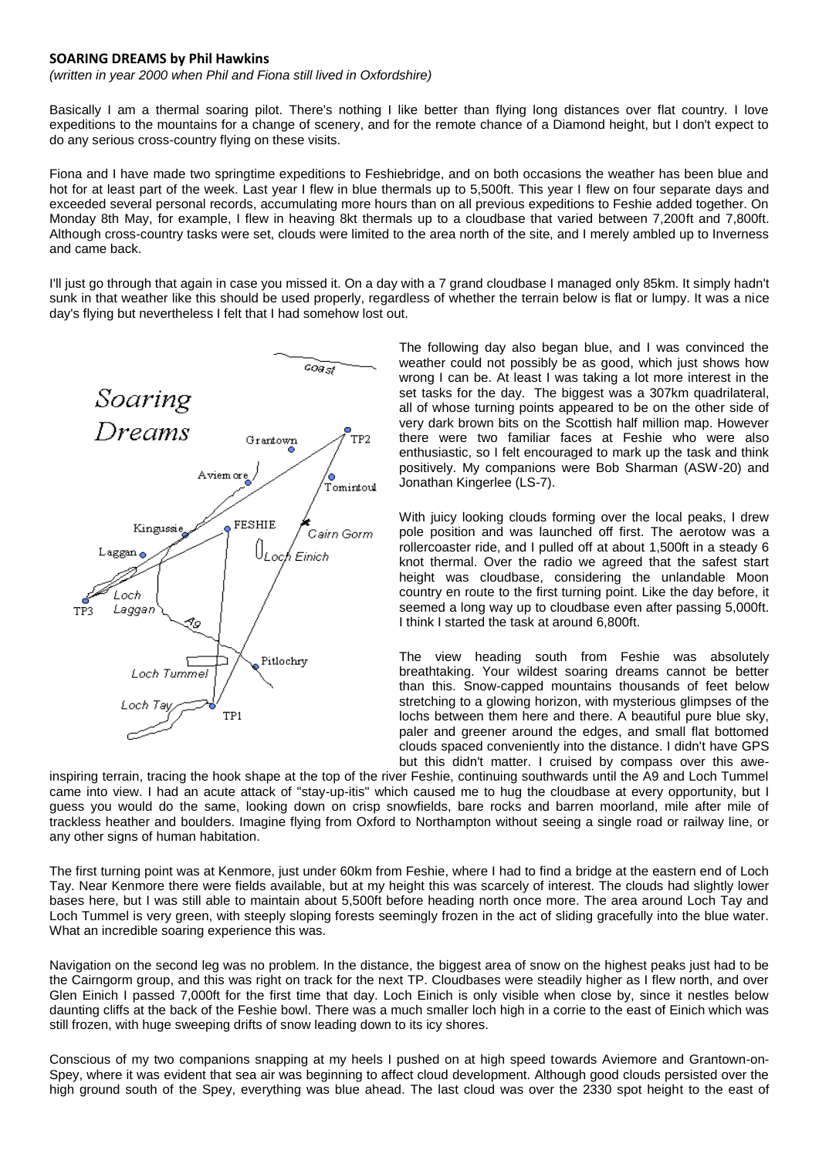## **SOARING DREAMS by Phil Hawkins**

*(written in year 2000 when Phil and Fiona still lived in Oxfordshire)*

Basically I am a thermal soaring pilot. There's nothing I like better than flying long distances over flat country. I love expeditions to the mountains for a change of scenery, and for the remote chance of a Diamond height, but I don't expect to do any serious cross-country flying on these visits.

Fiona and I have made two springtime expeditions to Feshiebridge, and on both occasions the weather has been blue and hot for at least part of the week. Last year I flew in blue thermals up to 5,500ft. This year I flew on four separate days and exceeded several personal records, accumulating more hours than on all previous expeditions to Feshie added together. On Monday 8th May, for example, I flew in heaving 8kt thermals up to a cloudbase that varied between 7,200ft and 7,800ft. Although cross-country tasks were set, clouds were limited to the area north of the site, and I merely ambled up to Inverness and came back.

I'll just go through that again in case you missed it. On a day with a 7 grand cloudbase I managed only 85km. It simply hadn't sunk in that weather like this should be used properly, regardless of whether the terrain below is flat or lumpy. It was a nice day's flying but nevertheless I felt that I had somehow lost out.



The following day also began blue, and I was convinced the weather could not possibly be as good, which just shows how wrong I can be. At least I was taking a lot more interest in the set tasks for the day. The biggest was a 307km quadrilateral, all of whose turning points appeared to be on the other side of very dark brown bits on the Scottish half million map. However there were two familiar faces at Feshie who were also enthusiastic, so I felt encouraged to mark up the task and think positively. My companions were Bob Sharman (ASW-20) and Jonathan Kingerlee (LS-7).

With juicy looking clouds forming over the local peaks, I drew pole position and was launched off first. The aerotow was a rollercoaster ride, and I pulled off at about 1,500ft in a steady 6 knot thermal. Over the radio we agreed that the safest start height was cloudbase, considering the unlandable Moon country en route to the first turning point. Like the day before, it seemed a long way up to cloudbase even after passing 5,000ft. I think I started the task at around 6,800ft.

The view heading south from Feshie was absolutely breathtaking. Your wildest soaring dreams cannot be better than this. Snow-capped mountains thousands of feet below stretching to a glowing horizon, with mysterious glimpses of the lochs between them here and there. A beautiful pure blue sky, paler and greener around the edges, and small flat bottomed clouds spaced conveniently into the distance. I didn't have GPS but this didn't matter. I cruised by compass over this awe-

inspiring terrain, tracing the hook shape at the top of the river Feshie, continuing southwards until the A9 and Loch Tummel came into view. I had an acute attack of "stay-up-itis" which caused me to hug the cloudbase at every opportunity, but I guess you would do the same, looking down on crisp snowfields, bare rocks and barren moorland, mile after mile of trackless heather and boulders. Imagine flying from Oxford to Northampton without seeing a single road or railway line, or any other signs of human habitation.

The first turning point was at Kenmore, just under 60km from Feshie, where I had to find a bridge at the eastern end of Loch Tay. Near Kenmore there were fields available, but at my height this was scarcely of interest. The clouds had slightly lower bases here, but I was still able to maintain about 5,500ft before heading north once more. The area around Loch Tay and Loch Tummel is very green, with steeply sloping forests seemingly frozen in the act of sliding gracefully into the blue water. What an incredible soaring experience this was.

Navigation on the second leg was no problem. In the distance, the biggest area of snow on the highest peaks just had to be the Cairngorm group, and this was right on track for the next TP. Cloudbases were steadily higher as I flew north, and over Glen Einich I passed 7,000ft for the first time that day. Loch Einich is only visible when close by, since it nestles below daunting cliffs at the back of the Feshie bowl. There was a much smaller loch high in a corrie to the east of Einich which was still frozen, with huge sweeping drifts of snow leading down to its icy shores.

Conscious of my two companions snapping at my heels I pushed on at high speed towards Aviemore and Grantown-on-Spey, where it was evident that sea air was beginning to affect cloud development. Although good clouds persisted over the high ground south of the Spey, everything was blue ahead. The last cloud was over the 2330 spot height to the east of